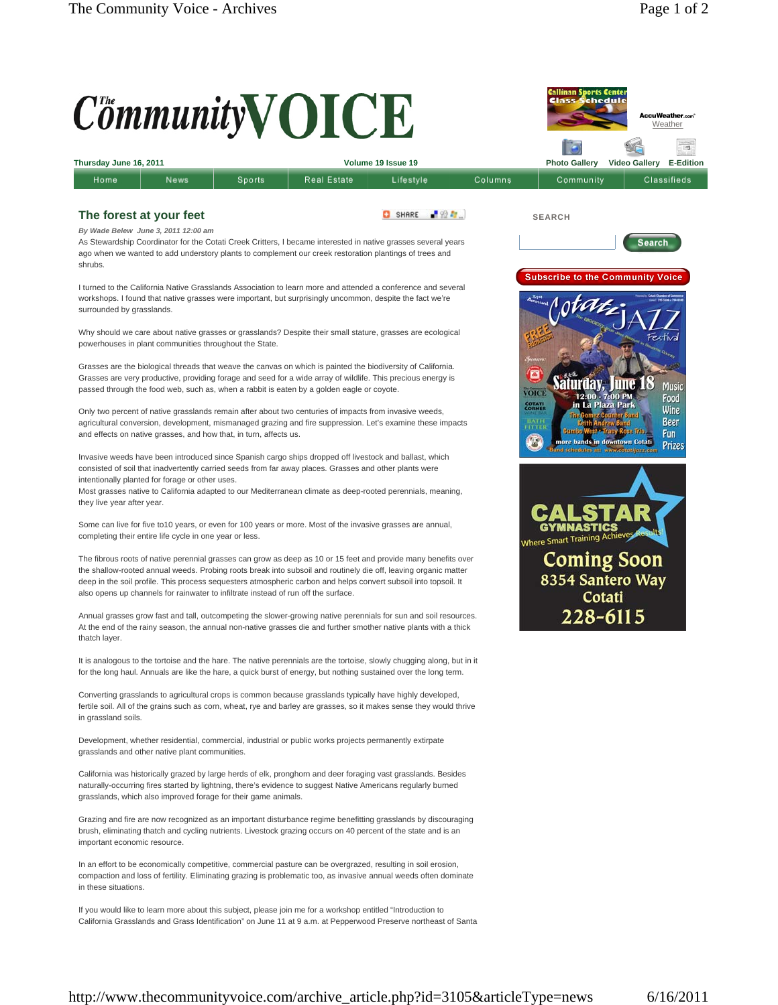surrounded by grasslands.

Weather

÷,

## $C^{\mathit{t}}$ mmunity $\mathbf{V}$ **OICE** uWeather.com **Thursday June 16, 2011 Volume 19 Issue 19 Photo Gallery Video Gallery E-Edition** News Sports Real Estate Lifestyle Columns Community Classifieds Home **The forest at your feet** SHARE FOR **SEARCH** *By Wade Belew June 3, 2011 12:00 am* As Stewardship Coordinator for the Cotati Creek Critters, I became interested in native grasses several years Search ago when we wanted to add understory plants to complement our creek restoration plantings of trees and shrubs. I turned to the California Native Grasslands Association to learn more and attended a conference and several workshops. I found that native grasses were important, but surprisingly uncommon, despite the fact we're

Why should we care about native grasses or grasslands? Despite their small stature, grasses are ecological powerhouses in plant communities throughout the State.

Grasses are the biological threads that weave the canvas on which is painted the biodiversity of California. Grasses are very productive, providing forage and seed for a wide array of wildlife. This precious energy is passed through the food web, such as, when a rabbit is eaten by a golden eagle or coyote.

Only two percent of native grasslands remain after about two centuries of impacts from invasive weeds, agricultural conversion, development, mismanaged grazing and fire suppression. Let's examine these impacts and effects on native grasses, and how that, in turn, affects us.

Invasive weeds have been introduced since Spanish cargo ships dropped off livestock and ballast, which consisted of soil that inadvertently carried seeds from far away places. Grasses and other plants were intentionally planted for forage or other uses.

Most grasses native to California adapted to our Mediterranean climate as deep-rooted perennials, meaning, they live year after year.

Some can live for five to10 years, or even for 100 years or more. Most of the invasive grasses are annual, completing their entire life cycle in one year or less.

The fibrous roots of native perennial grasses can grow as deep as 10 or 15 feet and provide many benefits over the shallow-rooted annual weeds. Probing roots break into subsoil and routinely die off, leaving organic matter deep in the soil profile. This process sequesters atmospheric carbon and helps convert subsoil into topsoil. It also opens up channels for rainwater to infiltrate instead of run off the surface.

Annual grasses grow fast and tall, outcompeting the slower-growing native perennials for sun and soil resources. At the end of the rainy season, the annual non-native grasses die and further smother native plants with a thick thatch layer.

It is analogous to the tortoise and the hare. The native perennials are the tortoise, slowly chugging along, but in it for the long haul. Annuals are like the hare, a quick burst of energy, but nothing sustained over the long term.

Converting grasslands to agricultural crops is common because grasslands typically have highly developed, fertile soil. All of the grains such as corn, wheat, rye and barley are grasses, so it makes sense they would thrive in grassland soils.

Development, whether residential, commercial, industrial or public works projects permanently extirpate grasslands and other native plant communities.

California was historically grazed by large herds of elk, pronghorn and deer foraging vast grasslands. Besides naturally-occurring fires started by lightning, there's evidence to suggest Native Americans regularly burned grasslands, which also improved forage for their game animals.

Grazing and fire are now recognized as an important disturbance regime benefitting grasslands by discouraging brush, eliminating thatch and cycling nutrients. Livestock grazing occurs on 40 percent of the state and is an important economic resource.

In an effort to be economically competitive, commercial pasture can be overgrazed, resulting in soil erosion, compaction and loss of fertility. Eliminating grazing is problematic too, as invasive annual weeds often dominate in these situations.

If you would like to learn more about this subject, please join me for a workshop entitled "Introduction to California Grasslands and Grass Identification" on June 11 at 9 a.m. at Pepperwood Preserve northeast of Santa